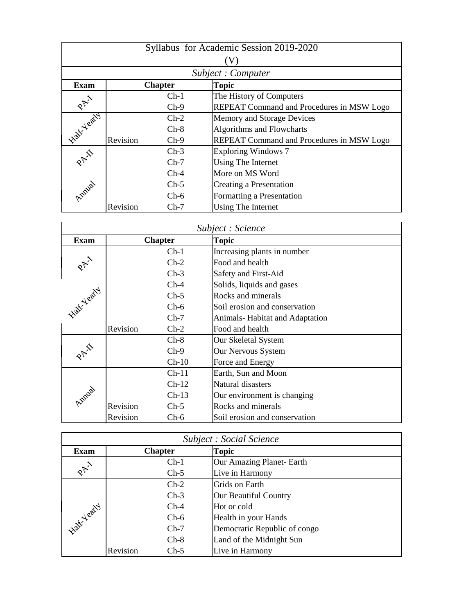| Syllabus for Academic Session 2019-2020 |                   |                |                                           |  |  |
|-----------------------------------------|-------------------|----------------|-------------------------------------------|--|--|
|                                         |                   |                |                                           |  |  |
|                                         | Subject: Computer |                |                                           |  |  |
| <b>Exam</b>                             |                   | <b>Chapter</b> | <b>Topic</b>                              |  |  |
|                                         |                   | $Ch-1$         | The History of Computers                  |  |  |
| $R_{\mathcal{P}}^{\lambda}$             |                   | $Ch-9$         | REPEAT Command and Procedures in MSW Logo |  |  |
| <b>Native Yeary</b>                     |                   | $Ch-2$         | Memory and Storage Devices                |  |  |
|                                         |                   | $Ch-8$         | Algorithms and Flowcharts                 |  |  |
|                                         | Revision          | $Ch-9$         | REPEAT Command and Procedures in MSW Logo |  |  |
|                                         |                   | $Ch-3$         | <b>Exploring Windows 7</b>                |  |  |
| RAI                                     |                   | $Ch-7$         | Using The Internet                        |  |  |
|                                         |                   | $Ch-4$         | More on MS Word                           |  |  |
| Londa                                   |                   | $Ch-5$         | Creating a Presentation                   |  |  |
|                                         |                   | $Ch-6$         | Formatting a Presentation                 |  |  |
|                                         | Revision          | $Ch-7$         | Using The Internet                        |  |  |

| Subject : Science |          |                |                                       |
|-------------------|----------|----------------|---------------------------------------|
| <b>Exam</b>       |          | <b>Chapter</b> | <b>Topic</b>                          |
|                   |          | $Ch-1$         | Increasing plants in number           |
| PAY               |          | $Ch-2$         | Food and health                       |
|                   |          | $Ch-3$         | Safety and First-Aid                  |
|                   |          | $Ch-4$         | Solids, liquids and gases             |
| <b>Half Yeary</b> |          | $Ch-5$         | Rocks and minerals                    |
|                   |          | $Ch-6$         | Soil erosion and conservation         |
|                   |          | $Ch-7$         | <b>Animals-Habitat and Adaptation</b> |
|                   | Revision | $Ch-2$         | Food and health                       |
|                   |          | $Ch-8$         | Our Skeletal System                   |
| PAR               |          | $Ch-9$         | Our Nervous System                    |
|                   |          | $Ch-10$        | Force and Energy                      |
|                   |          | $Ch-11$        | Earth, Sun and Moon                   |
|                   |          | $Ch-12$        | Natural disasters                     |
| Annial            |          | $Ch-13$        | Our environment is changing           |
|                   | Revision | $Ch-5$         | Rocks and minerals                    |
|                   | Revision | $Ch-6$         | Soil erosion and conservation         |

| <b>Subject : Social Science</b> |                    |                              |  |
|---------------------------------|--------------------|------------------------------|--|
| <b>Exam</b>                     | <b>Chapter</b>     | <b>Topic</b>                 |  |
|                                 | $Ch-1$             | Our Amazing Planet- Earth    |  |
| RAY                             | $Ch-5$             | Live in Harmony              |  |
|                                 | $Ch-2$             | Grids on Earth               |  |
|                                 | $Ch-3$             | <b>Our Beautiful Country</b> |  |
|                                 | $Ch-4$             | Hot or cold                  |  |
|                                 | $Ch-6$             | Health in your Hands         |  |
| <b>Half Yearty</b>              | $Ch-7$             | Democratic Republic of congo |  |
|                                 | $Ch-8$             | Land of the Midnight Sun     |  |
|                                 | Revision<br>$Ch-5$ | Live in Harmony              |  |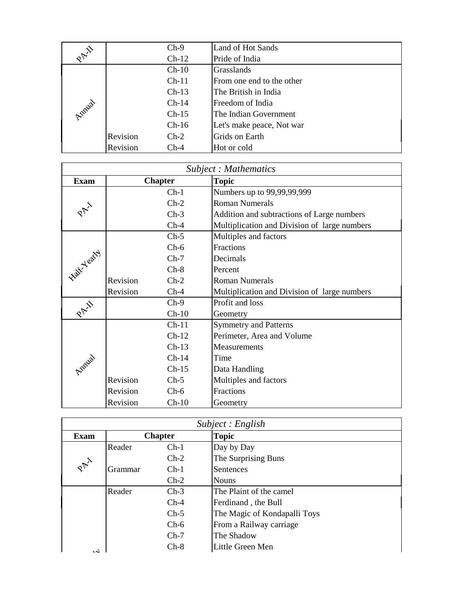|        |          | $Ch-9$  | <b>Land of Hot Sands</b>  |
|--------|----------|---------|---------------------------|
| RAY    |          | $Ch-12$ | Pride of India            |
|        |          | $Ch-10$ | Grasslands                |
|        |          | $Ch-11$ | From one end to the other |
|        |          | $Ch-13$ | The British in India      |
|        |          | $Ch-14$ | Freedom of India          |
| Annial |          | $Ch-15$ | The Indian Government     |
|        |          | $Ch-16$ | Let's make peace, Not war |
|        | Revision | $Ch-2$  | Grids on Earth            |
|        | Revision | $Ch-4$  | Hot or cold               |

| <b>Subject: Mathematics</b> |          |                |                                              |
|-----------------------------|----------|----------------|----------------------------------------------|
| <b>Exam</b>                 |          | <b>Chapter</b> | <b>Topic</b>                                 |
|                             |          | $Ch-1$         | Numbers up to 99,99,99,999                   |
|                             |          | $Ch-2$         | <b>Roman Numerals</b>                        |
|                             |          | $Ch-3$         | Addition and subtractions of Large numbers   |
|                             |          | $Ch-4$         | Multiplication and Division of large numbers |
|                             |          | $Ch-5$         | Multiples and factors                        |
|                             |          | $Ch-6$         | Fractions                                    |
| alt Yeath                   |          | $Ch-7$         | Decimals                                     |
|                             |          | $Ch-8$         | Percent                                      |
|                             | Revision | $Ch-2$         | <b>Roman Numerals</b>                        |
|                             | Revision | $Ch-4$         | Multiplication and Division of large numbers |
| PAI                         |          | $Ch-9$         | Profit and loss                              |
|                             |          | $Ch-10$        | Geometry                                     |
|                             |          | $Ch-11$        | <b>Symmetry and Patterns</b>                 |
|                             |          | $Ch-12$        | Perimeter, Area and Volume                   |
|                             |          | $Ch-13$        | Measurements                                 |
|                             |          | $Ch-14$        | Time                                         |
| Amiral                      |          | $Ch-15$        | Data Handling                                |
|                             | Revision | $Ch-5$         | Multiples and factors                        |
|                             | Revision | $Ch-6$         | Fractions                                    |
|                             | Revision | $Ch-10$        | Geometry                                     |

| Subject : English          |         |                |                              |
|----------------------------|---------|----------------|------------------------------|
| <b>Exam</b>                |         | <b>Chapter</b> | <b>Topic</b>                 |
|                            | Reader  | $Ch-1$         | Day by Day                   |
| $\delta_{\nabla}^{\nabla}$ |         | $Ch-2$         | The Surprising Buns          |
|                            | Grammar | $Ch-1$         | Sentences                    |
|                            |         | $Ch-2$         | <b>Nouns</b>                 |
|                            | Reader  | $Ch-3$         | The Plaint of the camel      |
|                            |         | $Ch-4$         | Ferdinand, the Bull          |
|                            |         | $Ch-5$         | The Magic of Kondapalli Toys |
|                            |         | $Ch-6$         | From a Railway carriage      |
|                            |         | $Ch-7$         | The Shadow                   |
| لمم                        |         | $Ch-8$         | Little Green Men             |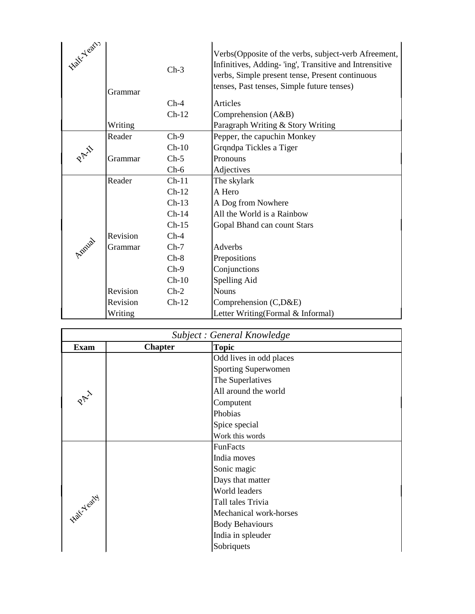| Half-Yearly | Grammar  | $Ch-3$<br>$Ch-4$<br>$Ch-12$ | Verbs (Opposite of the verbs, subject-verb Afreement,<br>Infinitives, Adding-'ing', Transitive and Intrensitive<br>verbs, Simple present tense, Present continuous<br>tenses, Past tenses, Simple future tenses)<br>Articles<br>Comprehension (A&B) |
|-------------|----------|-----------------------------|-----------------------------------------------------------------------------------------------------------------------------------------------------------------------------------------------------------------------------------------------------|
|             | Writing  |                             | Paragraph Writing & Story Writing                                                                                                                                                                                                                   |
|             | Reader   | $Ch-9$                      | Pepper, the capuchin Monkey                                                                                                                                                                                                                         |
|             |          | $Ch-10$                     | Grqndpa Tickles a Tiger                                                                                                                                                                                                                             |
|             | Grammar  | $Ch-5$                      | Pronouns                                                                                                                                                                                                                                            |
|             |          | $Ch-6$                      | Adjectives                                                                                                                                                                                                                                          |
|             | Reader   | $Ch-11$                     | The skylark                                                                                                                                                                                                                                         |
|             |          | $Ch-12$                     | A Hero                                                                                                                                                                                                                                              |
|             |          | $Ch-13$                     | A Dog from Nowhere                                                                                                                                                                                                                                  |
|             |          | $Ch-14$                     | All the World is a Rainbow                                                                                                                                                                                                                          |
|             |          | $Ch-15$                     | Gopal Bhand can count Stars                                                                                                                                                                                                                         |
|             | Revision | $Ch-4$                      |                                                                                                                                                                                                                                                     |
| Amual       | Grammar  | $Ch-7$                      | <b>Adverbs</b>                                                                                                                                                                                                                                      |
|             |          | $Ch-8$                      | Prepositions                                                                                                                                                                                                                                        |
|             |          | $Ch-9$                      | Conjunctions                                                                                                                                                                                                                                        |
|             |          | $Ch-10$                     | Spelling Aid                                                                                                                                                                                                                                        |
|             | Revision | $Ch-2$                      | <b>Nouns</b>                                                                                                                                                                                                                                        |
|             | Revision | $Ch-12$                     | Comprehension (C,D&E)                                                                                                                                                                                                                               |
|             | Writing  |                             | Letter Writing(Formal & Informal)                                                                                                                                                                                                                   |

| Subject : General Knowledge |                |                            |
|-----------------------------|----------------|----------------------------|
| <b>Exam</b>                 | <b>Chapter</b> | <b>Topic</b>               |
|                             |                | Odd lives in odd places    |
|                             |                | <b>Sporting Superwomen</b> |
|                             |                | The Superlatives           |
|                             |                | All around the world       |
|                             |                | Computent                  |
|                             |                | Phobias                    |
|                             |                | Spice special              |
|                             |                | Work this words            |
|                             |                | <b>FunFacts</b>            |
|                             |                | India moves                |
|                             |                | Sonic magic                |
|                             |                | Days that matter           |
|                             |                | World leaders              |
| <b>Native Yeary</b>         |                | Tall tales Trivia          |
|                             |                | Mechanical work-horses     |
|                             |                | <b>Body Behaviours</b>     |
|                             |                | India in spleuder          |
|                             |                | Sobriquets                 |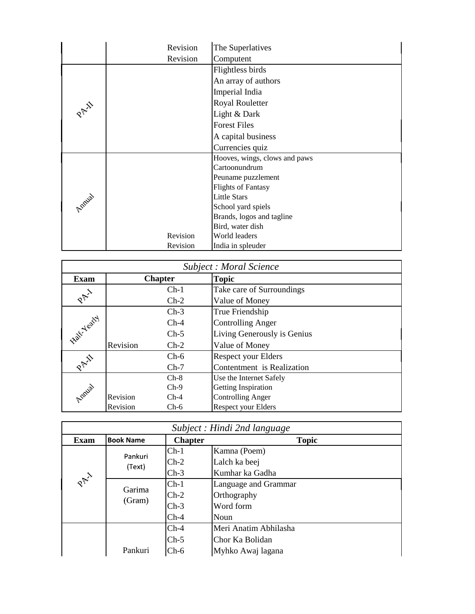|      | Revision | The Superlatives              |
|------|----------|-------------------------------|
|      | Revision | Computent                     |
|      |          | Flightless birds              |
|      |          | An array of authors           |
|      |          | Imperial India                |
| PAY  |          | <b>Royal Rouletter</b>        |
|      |          | Light & Dark                  |
|      |          | <b>Forest Files</b>           |
|      |          | A capital business            |
|      |          | Currencies quiz               |
|      |          | Hooves, wings, clows and paws |
|      |          | Cartoonundrum                 |
|      |          | Peuname puzzlement            |
|      |          | <b>Flights of Fantasy</b>     |
|      |          | <b>Little Stars</b>           |
| Amus |          | School yard spiels            |
|      |          | Brands, logos and tagline     |
|      |          | Bird, water dish              |
|      | Revision | World leaders                 |
|      | Revision | India in spleuder             |

| Subject : Moral Science |          |                |                             |  |
|-------------------------|----------|----------------|-----------------------------|--|
| <b>Exam</b>             |          | <b>Chapter</b> | <b>Topic</b>                |  |
|                         |          | $Ch-1$         | Take care of Surroundings   |  |
| PAY                     |          | $Ch-2$         | Value of Money              |  |
|                         |          | $Ch-3$         | True Friendship             |  |
|                         |          | $Ch-4$         | <b>Controlling Anger</b>    |  |
| <b>Half Yearty</b>      |          | $Ch-5$         | Living Generously is Genius |  |
|                         | Revision | $Ch-2$         | Value of Money              |  |
|                         |          | $Ch-6$         | <b>Respect your Elders</b>  |  |
| RAI                     |          | $Ch-7$         | Contentment is Realization  |  |
|                         |          | $Ch-8$         | Use the Internet Safely     |  |
| Amilal                  |          | $Ch-9$         | Getting Inspiration         |  |
|                         | Revision | $Ch-4$         | <b>Controlling Anger</b>    |  |
|                         | Revision | $Ch-6$         | <b>Respect your Elders</b>  |  |

|             | Subject : Hindi 2nd language |                |                       |  |
|-------------|------------------------------|----------------|-----------------------|--|
| <b>Exam</b> | <b>Book Name</b>             | <b>Chapter</b> | <b>Topic</b>          |  |
|             | Pankuri                      | $Ch-1$         | Kamna (Poem)          |  |
|             | (Text)                       | $Ch-2$         | Lalch ka beej         |  |
|             |                              | $Ch-3$         | Kumhar ka Gadha       |  |
| RAY         | Garima<br>(Gram)             | $Ch-1$         | Language and Grammar  |  |
|             |                              | $Ch-2$         | Orthography           |  |
|             |                              | $Ch-3$         | Word form             |  |
|             |                              | $Ch-4$         | Noun                  |  |
|             |                              | $Ch-4$         | Meri Anatim Abhilasha |  |
|             |                              | $Ch-5$         | Chor Ka Bolidan       |  |
|             | Pankuri                      | $Ch-6$         | Myhko Awaj lagana     |  |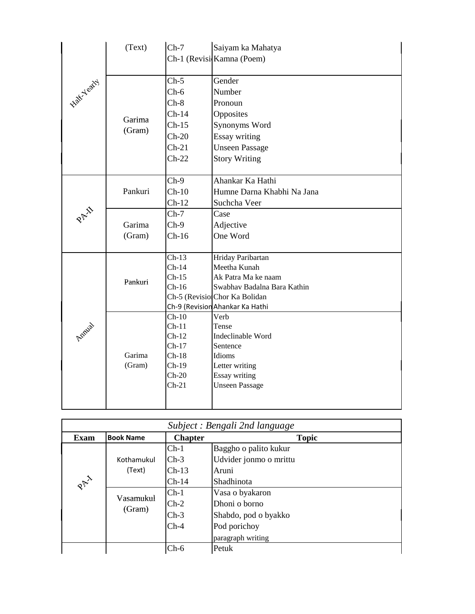|                    | (Text)  | $Ch-7$             | Saiyam ka Mahatya                                            |
|--------------------|---------|--------------------|--------------------------------------------------------------|
|                    |         |                    | Ch-1 (Revisi Kamna (Poem)                                    |
|                    |         |                    |                                                              |
| <b>Half-Yearty</b> |         | $Ch-5$             | Gender                                                       |
|                    |         | $Ch-6$             | Number                                                       |
|                    |         | $Ch-8$             | Pronoun                                                      |
|                    | Garima  | $Ch-14$            | Opposites                                                    |
|                    | (Gram)  | $Ch-15$            | Synonyms Word                                                |
|                    |         | $Ch-20$            | <b>Essay writing</b>                                         |
|                    |         | $Ch-21$            | <b>Unseen Passage</b>                                        |
|                    |         | $Ch-22$            | <b>Story Writing</b>                                         |
|                    |         |                    |                                                              |
|                    |         | $Ch-9$             | Ahankar Ka Hathi                                             |
|                    | Pankuri | $Ch-10$            | Humne Darna Khabhi Na Jana                                   |
|                    |         | $Ch-12$            | Suchcha Veer                                                 |
| PAI                |         | $Ch-7$             | Case                                                         |
|                    | Garima  | $Ch-9$             | Adjective                                                    |
|                    | (Gram)  | $Ch-16$            | One Word                                                     |
|                    |         |                    |                                                              |
|                    |         | $Ch-13$            | Hriday Paribartan                                            |
|                    |         | $Ch-14$            | Meetha Kunah                                                 |
|                    | Pankuri | $Ch-15$<br>$Ch-16$ | Ak Patra Ma ke naam                                          |
|                    |         |                    | Swabhav Badalna Bara Kathin<br>Ch-5 (RevisionChor Ka Bolidan |
|                    |         |                    | Ch-9 (Revision Ahankar Ka Hathi                              |
|                    |         | $Ch-10$            | Verb                                                         |
| Annia              |         | $Ch-11$            | Tense                                                        |
|                    |         | $Ch-12$            | Indeclinable Word                                            |
|                    |         | $Ch-17$            | Sentence                                                     |
|                    | Garima  | $Ch-18$            | Idioms                                                       |
|                    | (Gram)  | $Ch-19$            | Letter writing                                               |
|                    |         | $Ch-20$            | Essay writing                                                |
|                    |         | $Ch-21$            | <b>Unseen Passage</b>                                        |
|                    |         |                    |                                                              |

| Subject : Bengali 2nd language |                      |                |                        |  |  |  |
|--------------------------------|----------------------|----------------|------------------------|--|--|--|
| <b>Exam</b>                    | <b>Book Name</b>     | <b>Chapter</b> | <b>Topic</b>           |  |  |  |
|                                | Kothamukul<br>(Text) | $Ch-1$         | Baggho o palito kukur  |  |  |  |
|                                |                      | $Ch-3$         | Udvider jonmo o mrittu |  |  |  |
|                                |                      | $Ch-13$        | Aruni                  |  |  |  |
| PAY                            |                      | $Ch-14$        | Shadhinota             |  |  |  |
|                                | Vasamukul<br>(Gram)  | $Ch-1$         | Vasa o byakaron        |  |  |  |
|                                |                      | $Ch-2$         | Dhoni o borno          |  |  |  |
|                                |                      | $Ch-3$         | Shabdo, pod o byakko   |  |  |  |
|                                |                      | $Ch-4$         | Pod porichoy           |  |  |  |
|                                |                      |                | paragraph writing      |  |  |  |
|                                |                      | $Ch-6$         | Petuk                  |  |  |  |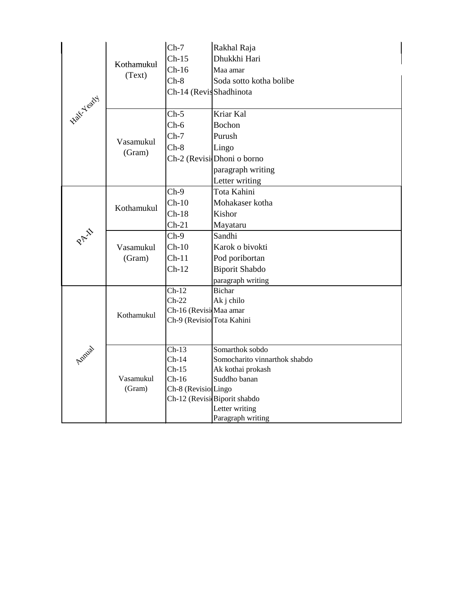| <b>Half-Yearty</b> | Kothamukul<br>(Text) | $Ch-7$                    | Rakhal Raja                   |
|--------------------|----------------------|---------------------------|-------------------------------|
|                    |                      | $Ch-15$                   | Dhukkhi Hari                  |
|                    |                      | $Ch-16$                   | Maa amar                      |
|                    |                      | $Ch-8$                    | Soda sotto kotha bolibe       |
|                    |                      | Ch-14 (RevisShadhinota    |                               |
|                    | Vasamukul<br>(Gram)  | $Ch-5$                    | Kriar Kal                     |
|                    |                      | $Ch-6$                    | Bochon                        |
|                    |                      | $Ch-7$                    | Purush                        |
|                    |                      | $Ch-8$                    | Lingo                         |
|                    |                      |                           | Ch-2 (Revisi Dhoni o borno    |
|                    |                      |                           | paragraph writing             |
|                    |                      |                           | Letter writing                |
|                    | Kothamukul           | $Ch-9$                    | Tota Kahini                   |
|                    |                      | $Ch-10$                   | Mohakaser kotha               |
|                    |                      | $Ch-18$                   | Kishor                        |
|                    |                      | $Ch-21$                   | Mayataru                      |
| PAI                | Vasamukul<br>(Gram)  | $Ch-9$                    | Sandhi                        |
|                    |                      | $Ch-10$                   | Karok o bivokti               |
|                    |                      | $Ch-11$                   | Pod poribortan                |
|                    |                      | $Ch-12$                   | <b>Biporit Shabdo</b>         |
|                    |                      |                           | paragraph writing             |
|                    | Kothamukul           | $Ch-12$                   | <b>Bichar</b>                 |
|                    |                      | $Ch-22$                   | Ak j chilo                    |
|                    |                      | Ch-16 (Revisi Maa amar    |                               |
|                    |                      | Ch-9 (Revisio Tota Kahini |                               |
|                    |                      |                           |                               |
|                    | Vasamukul<br>(Gram)  | $Ch-13$                   | Somarthok sobdo               |
| Amira              |                      | $Ch-14$                   | Somocharito vinnarthok shabdo |
|                    |                      | $Ch-15$<br>$Ch-16$        | Ak kothai prokash             |
|                    |                      | Ch-8 (Revisio Lingo       | Suddho banan                  |
|                    |                      |                           | Ch-12 (Revisi Biporit shabdo  |
|                    |                      |                           | Letter writing                |
|                    |                      |                           | Paragraph writing             |